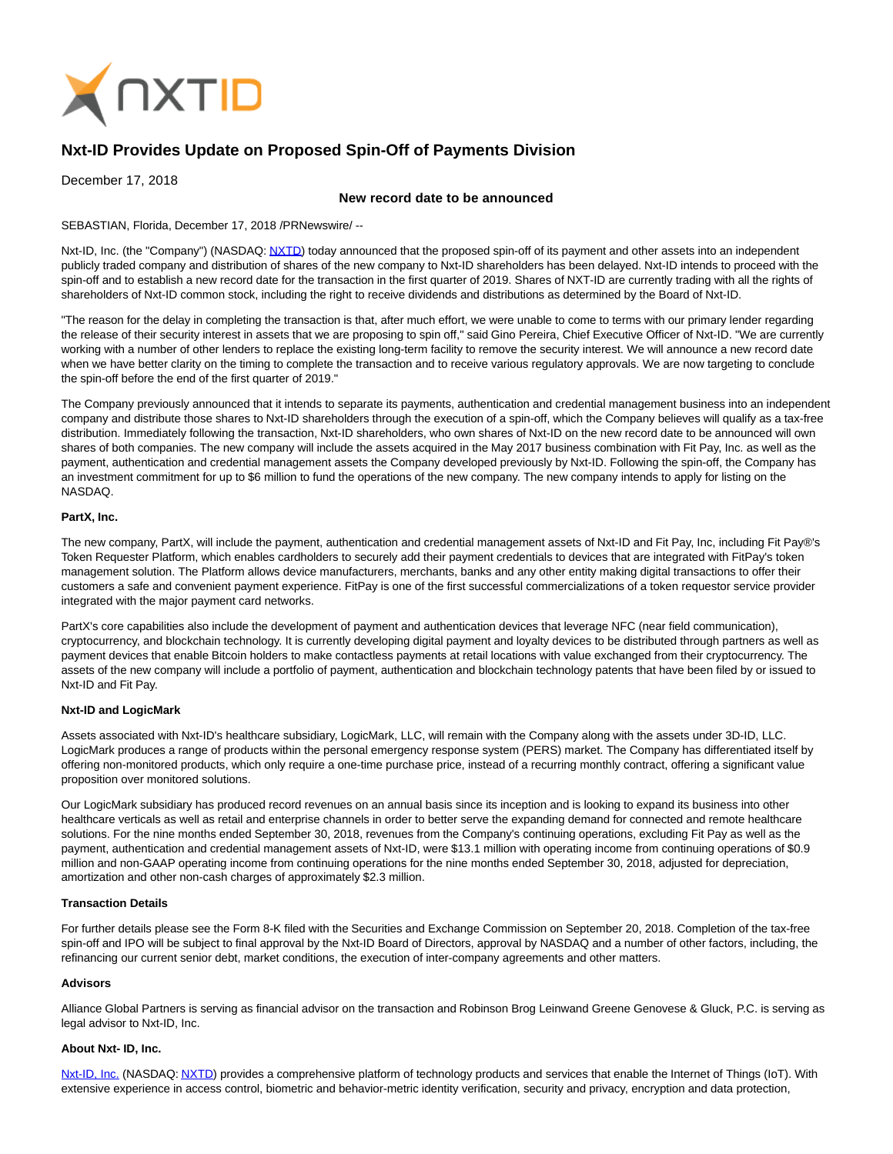

# **Nxt-ID Provides Update on Proposed Spin-Off of Payments Division**

December 17, 2018

# **New record date to be announced**

SEBASTIAN, Florida, December 17, 2018 /PRNewswire/ --

Nxt-ID, Inc. (the "Company") (NASDAQ: [NXTD\)](https://finance.yahoo.com/q?s=nxtd) today announced that the proposed spin-off of its payment and other assets into an independent publicly traded company and distribution of shares of the new company to Nxt-ID shareholders has been delayed. Nxt-ID intends to proceed with the spin-off and to establish a new record date for the transaction in the first quarter of 2019. Shares of NXT-ID are currently trading with all the rights of shareholders of Nxt-ID common stock, including the right to receive dividends and distributions as determined by the Board of Nxt-ID.

"The reason for the delay in completing the transaction is that, after much effort, we were unable to come to terms with our primary lender regarding the release of their security interest in assets that we are proposing to spin off," said Gino Pereira, Chief Executive Officer of Nxt-ID. "We are currently working with a number of other lenders to replace the existing long-term facility to remove the security interest. We will announce a new record date when we have better clarity on the timing to complete the transaction and to receive various regulatory approvals. We are now targeting to conclude the spin-off before the end of the first quarter of 2019."

The Company previously announced that it intends to separate its payments, authentication and credential management business into an independent company and distribute those shares to Nxt-ID shareholders through the execution of a spin-off, which the Company believes will qualify as a tax-free distribution. Immediately following the transaction, Nxt-ID shareholders, who own shares of Nxt-ID on the new record date to be announced will own shares of both companies. The new company will include the assets acquired in the May 2017 business combination with Fit Pay, Inc. as well as the payment, authentication and credential management assets the Company developed previously by Nxt-ID. Following the spin-off, the Company has an investment commitment for up to \$6 million to fund the operations of the new company. The new company intends to apply for listing on the NASDAQ.

## **PartX, Inc.**

The new company, PartX, will include the payment, authentication and credential management assets of Nxt-ID and Fit Pay, Inc, including Fit Pay®'s Token Requester Platform, which enables cardholders to securely add their payment credentials to devices that are integrated with FitPay's token management solution. The Platform allows device manufacturers, merchants, banks and any other entity making digital transactions to offer their customers a safe and convenient payment experience. FitPay is one of the first successful commercializations of a token requestor service provider integrated with the major payment card networks.

PartX's core capabilities also include the development of payment and authentication devices that leverage NFC (near field communication), cryptocurrency, and blockchain technology. It is currently developing digital payment and loyalty devices to be distributed through partners as well as payment devices that enable Bitcoin holders to make contactless payments at retail locations with value exchanged from their cryptocurrency. The assets of the new company will include a portfolio of payment, authentication and blockchain technology patents that have been filed by or issued to Nxt-ID and Fit Pay.

## **Nxt-ID and LogicMark**

Assets associated with Nxt-ID's healthcare subsidiary, LogicMark, LLC, will remain with the Company along with the assets under 3D-ID, LLC. LogicMark produces a range of products within the personal emergency response system (PERS) market. The Company has differentiated itself by offering non-monitored products, which only require a one-time purchase price, instead of a recurring monthly contract, offering a significant value proposition over monitored solutions.

Our LogicMark subsidiary has produced record revenues on an annual basis since its inception and is looking to expand its business into other healthcare verticals as well as retail and enterprise channels in order to better serve the expanding demand for connected and remote healthcare solutions. For the nine months ended September 30, 2018, revenues from the Company's continuing operations, excluding Fit Pay as well as the payment, authentication and credential management assets of Nxt-ID, were \$13.1 million with operating income from continuing operations of \$0.9 million and non-GAAP operating income from continuing operations for the nine months ended September 30, 2018, adjusted for depreciation, amortization and other non-cash charges of approximately \$2.3 million.

#### **Transaction Details**

For further details please see the Form 8-K filed with the Securities and Exchange Commission on September 20, 2018. Completion of the tax-free spin-off and IPO will be subject to final approval by the Nxt-ID Board of Directors, approval by NASDAQ and a number of other factors, including, the refinancing our current senior debt, market conditions, the execution of inter-company agreements and other matters.

#### **Advisors**

Alliance Global Partners is serving as financial advisor on the transaction and Robinson Brog Leinwand Greene Genovese & Gluck, P.C. is serving as legal advisor to Nxt-ID, Inc.

## **About Nxt- ID, Inc.**

[Nxt-ID, Inc. \(](http://www.nxt-id.com/)NASDAQ[: NXTD\)](https://finance.yahoo.com/q?s=nxtd) provides a comprehensive platform of technology products and services that enable the Internet of Things (IoT). With extensive experience in access control, biometric and behavior-metric identity verification, security and privacy, encryption and data protection,